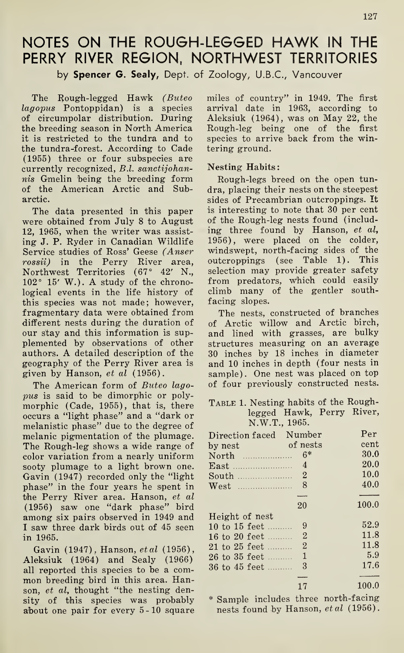# NOTES ON THE ROUGH-LEGGED HAWK IN THE PERRY RIVER REGION, NORTHWEST TERRITORIES

by Spencer G. Sealy, Dept. of Zoology, U.B.C., Vancouver

The Rough-legged Hawk (Buteo lagopus Pontoppidan) is a species of circumpolar distribution. During the breeding season in North America it is restricted to the tundra and to the tundra-forest. According to Cade (1955) three or four subspecies are currently recognized, B.l. sanctijohannis Gmelin being the breeding form of the American Arctic and Subarctic.

The data presented in this paper were obtained from July 8 to August 12, 1965, when the writer was assisting J. P. Ryder in Canadian Wildlife Service studies of Ross' Geese (Anser rossii) in the Perry River area, Northwest Territories (67° 42' N.,  $102° 15' W.$ ). A study of the chronological events in the life history of this species was not made; however, fragmentary data were obtained from different nests during the duration of our stay and this information is supplemented by observations of other authors. A detailed description of the geography of the Perry River area is given by Hanson, et al (1956).

The American form of Buteo lagopus is said to be dimorphic or polymorphic (Cade, 1955), that is, there occurs a "light phase" and a "dark or melanistic phase" due to the degree of melanic pigmentation of the plumage. The Rough-leg shows a wide range of color variation from a nearly uniform sooty plumage to a light brown one. Gavin (1947) recorded only the "light phase" in the four years he spent in the Perry River area. Hanson, et al (1956) saw one "dark phase" bird among six pairs observed in 1949 and I saw three dark birds out of 45 seen in 1965.

Gavin (1947), Hanson, et al (1956), Aleksiuk (1964) and Sealy (1966) all reported this species to be a common breeding bird in this area. Hanson, et al, thought "the nesting density of this species was probably about one pair for every 5-10 square miles of country" in 1949. The first arrival date in 1963, according to Aleksiuk (1964), was on May 22, the Rough-leg being one of the first species to arrive back from the wintering ground.

#### Nesting Habits:

Rough-legs breed on the open tun dra, placing their nests on the steepest sides of Precambrian outcroppings. It is interesting to note that 30 per cent of the Rough-leg nests found (including three found by Hanson, et al, 1956), were placed on the colder, windswept, north-facing sides of the outcroppings (see Table 1). This selection may provide greater safety from predators, which could easily climb many of the gentler southfacing slopes.

The nests, constructed of branches of Arctic willow and Arctic birch, and lined with grasses, are bulky structures measuring on an average 30 inches by 18 inches in diameter and 10 inches in depth (four nests in sample). One nest was placed on top of four previously constructed nests.

#### TABLE 1. Nesting habits of the Roughlegged Hawk, Perry River, N.W.T., 1965.

| of Arctic willow and Arctic birch,<br>and lined with grasses, are bulky<br>structures measuring on an average<br>30 inches by 18 inches in diameter<br>and 10 inches in depth (four nests in<br>sample). One nest was placed on top<br>of four previously constructed nests. |                           |       |  |  |  |
|------------------------------------------------------------------------------------------------------------------------------------------------------------------------------------------------------------------------------------------------------------------------------|---------------------------|-------|--|--|--|
| TABLE 1. Nesting habits of the Rough-                                                                                                                                                                                                                                        |                           |       |  |  |  |
|                                                                                                                                                                                                                                                                              | legged Hawk, Perry River, |       |  |  |  |
| N.W.T., 1965.                                                                                                                                                                                                                                                                |                           |       |  |  |  |
| Direction faced Number                                                                                                                                                                                                                                                       |                           | Per   |  |  |  |
| by nest of nests                                                                                                                                                                                                                                                             |                           | cent  |  |  |  |
|                                                                                                                                                                                                                                                                              |                           | 30.0  |  |  |  |
| $East$                                                                                                                                                                                                                                                                       | $\overline{4}$            | 20.0  |  |  |  |
| South                                                                                                                                                                                                                                                                        | $\overline{2}$            | 10.0  |  |  |  |
| West                                                                                                                                                                                                                                                                         | 8                         | 40.0  |  |  |  |
|                                                                                                                                                                                                                                                                              |                           |       |  |  |  |
|                                                                                                                                                                                                                                                                              | 20                        | 100.0 |  |  |  |
| Height of nest                                                                                                                                                                                                                                                               |                           |       |  |  |  |
| 10 to 15 feet                                                                                                                                                                                                                                                                | 9                         | 52.9  |  |  |  |
| 16 to 20 feet                                                                                                                                                                                                                                                                | $\overline{2}$            | 11.8  |  |  |  |
| 21 to 25 feet                                                                                                                                                                                                                                                                | $\overline{2}$            | 11.8  |  |  |  |
| 26 to 35 feet                                                                                                                                                                                                                                                                | $\overline{1}$            | 5.9   |  |  |  |
| 36 to 45 feet                                                                                                                                                                                                                                                                | 3                         | 17.6  |  |  |  |
|                                                                                                                                                                                                                                                                              |                           |       |  |  |  |
|                                                                                                                                                                                                                                                                              | 17                        | 100.0 |  |  |  |

\* Sample includes three north-facing nests found by Hanson, et al (1956).